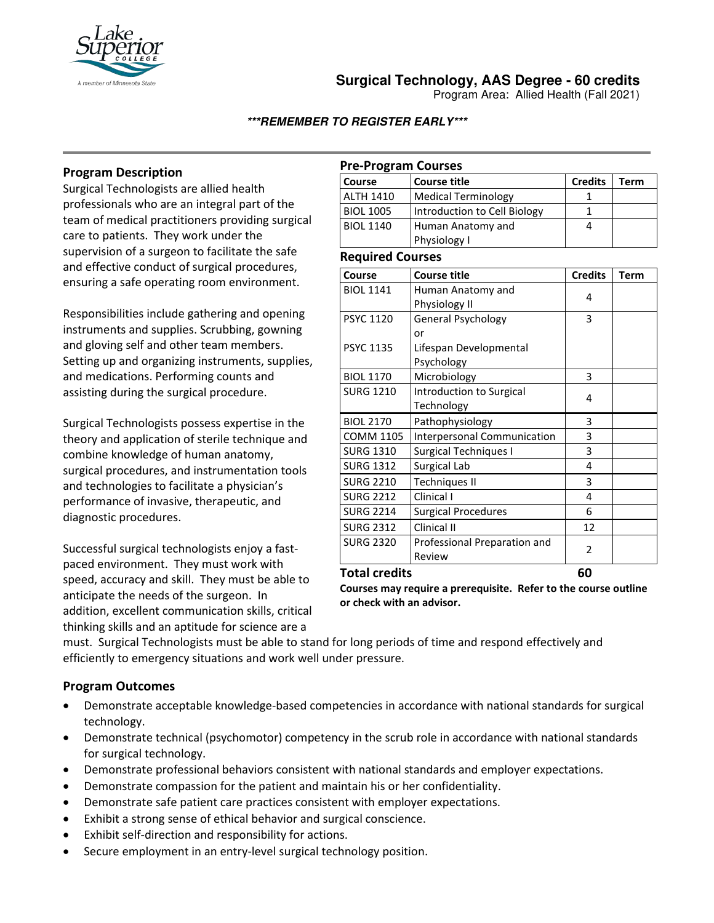

# **Surgical Technology, AAS Degree - 60 credits**

Program Area: Allied Health (Fall 2021)

## **\*\*\*REMEMBER TO REGISTER EARLY\*\*\***

# **Program Description**

Surgical Technologists are allied health professionals who are an integral part of the team of medical practitioners providing surgical care to patients. They work under the supervision of a surgeon to facilitate the safe and effective conduct of surgical procedures, ensuring a safe operating room environment.

Responsibilities include gathering and opening instruments and supplies. Scrubbing, gowning and gloving self and other team members. Setting up and organizing instruments, supplies, and medications. Performing counts and assisting during the surgical procedure.

Surgical Technologists possess expertise in the theory and application of sterile technique and combine knowledge of human anatomy, surgical procedures, and instrumentation tools and technologies to facilitate a physician's performance of invasive, therapeutic, and diagnostic procedures.

Successful surgical technologists enjoy a fastpaced environment. They must work with speed, accuracy and skill. They must be able to anticipate the needs of the surgeon. In addition, excellent communication skills, critical thinking skills and an aptitude for science are a

## **Pre-Program Courses**

| Course           | Course title                 | <b>Credits</b> | Term |
|------------------|------------------------------|----------------|------|
| <b>ALTH 1410</b> | Medical Terminology          |                |      |
| <b>BIOL 1005</b> | Introduction to Cell Biology |                |      |
| <b>BIOL 1140</b> | Human Anatomy and            |                |      |
|                  | Physiology I                 |                |      |

### **Required Courses**

| Course               | <b>Course title</b>          | <b>Credits</b> | Term |
|----------------------|------------------------------|----------------|------|
| <b>BIOL 1141</b>     | Human Anatomy and            | 4              |      |
|                      | Physiology II                |                |      |
| <b>PSYC 1120</b>     | General Psychology           | 3              |      |
|                      | or                           |                |      |
| <b>PSYC 1135</b>     | Lifespan Developmental       |                |      |
|                      | Psychology                   |                |      |
| <b>BIOL 1170</b>     | Microbiology                 | 3              |      |
| <b>SURG 1210</b>     | Introduction to Surgical     | 4              |      |
|                      | Technology                   |                |      |
| <b>BIOL 2170</b>     | Pathophysiology              | 3              |      |
| <b>COMM 1105</b>     | Interpersonal Communication  | 3              |      |
| <b>SURG 1310</b>     | <b>Surgical Techniques I</b> | 3              |      |
| <b>SURG 1312</b>     | Surgical Lab                 | 4              |      |
| <b>SURG 2210</b>     | <b>Techniques II</b>         | 3              |      |
| <b>SURG 2212</b>     | Clinical I                   | 4              |      |
| <b>SURG 2214</b>     | <b>Surgical Procedures</b>   | 6              |      |
| <b>SURG 2312</b>     | Clinical II                  | 12             |      |
| <b>SURG 2320</b>     | Professional Preparation and | 2              |      |
|                      | Review                       |                |      |
| <b>Total credits</b> | 60                           |                |      |

**Courses may require a prerequisite. Refer to the course outline or check with an advisor.** 

must. Surgical Technologists must be able to stand for long periods of time and respond effectively and efficiently to emergency situations and work well under pressure.

# **Program Outcomes**

- Demonstrate acceptable knowledge-based competencies in accordance with national standards for surgical technology.
- Demonstrate technical (psychomotor) competency in the scrub role in accordance with national standards for surgical technology.
- Demonstrate professional behaviors consistent with national standards and employer expectations.
- Demonstrate compassion for the patient and maintain his or her confidentiality.
- Demonstrate safe patient care practices consistent with employer expectations.
- Exhibit a strong sense of ethical behavior and surgical conscience.
- Exhibit self-direction and responsibility for actions.
- Secure employment in an entry-level surgical technology position.